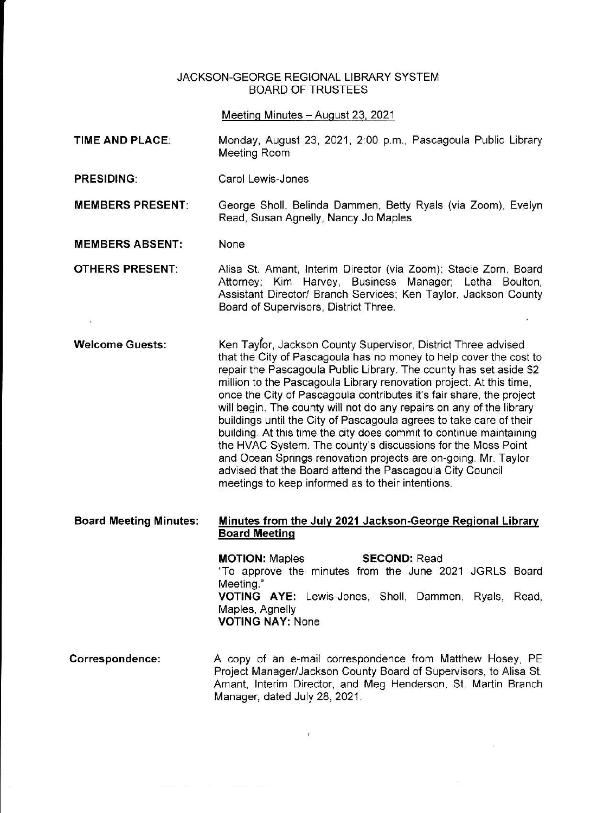## JACKSON-GEORGE RGIONAL LIBRARY SYSTEM BOARD OF TRUSTEES

Meeting Minutes - August 23, 2021

- TIME AND PLACE: Monday, August 23, 2021, 2:00 p.m., Pascagoula Public Library Meeting Room
- PRESIDING: Carol Lewis-Jones

MEMBERS PRESENT: George Sholl, Belinda Dammen, Betty Ryals (via Zoom), Evelyn Read. Susan Agnelly, Nancy Jo Maples

MEMBERS ABSENT: None

OTHERS PRESENT: Alisa St. Amant, lnterim Director (via Zoom); Stacie Zorn, Board Attorney; Kim Harvey, Business Manager; Letha Boulton, Assistant Director/ Branch Services; Ken Taylor, Jackson County Board of Supervisors, District Three.

Ken Taylor, Jackson County Supervisor, District Three advised that the City of Pascagoula has no money to help cover the cost to repair the Pascagoula Public Library. The county has set aside \$2 million to the Pascagoula Library renovation project. At this time, once the City of Pascagoula contributes it's fair share, the project will begin. The county will not do any repairs on any of the library buildings until the City of Pascagoula agrees to take care of their building. At this time the city does commit to continue maintaining the HVAC System. The county's discussions for the Moss Point and Ocean Springs renovation projects are on-going. Mr. Taylor advised that the Board attend the Pascagoula City Council meetings to keep informed as to their intentions. Welcome Guests:

#### Minutes from the Julv 2021 Jackson-Georqe Reqional Librarv **Board Meeting** Board Meeting Minutes:

MOTION: Maples "To approve the minutes from the June 2021 JGRLS Board Meeting." VOTING AYE: Lewis-Jones, Sholl, Dammen, Ryals, Read, Maples, Agnelly VOTING NAY: None SECOND: Read

A copy of an e-mail correspondence trom Matthew Hosey, PE Project Manager/Jackson County Board of Supervisors, to Alisa St. Amant, Interim Director, and Meg Henderson, St. Martin Branch Manager, dated July 28, 2021. Correspondence:

 $\mathbf{I}$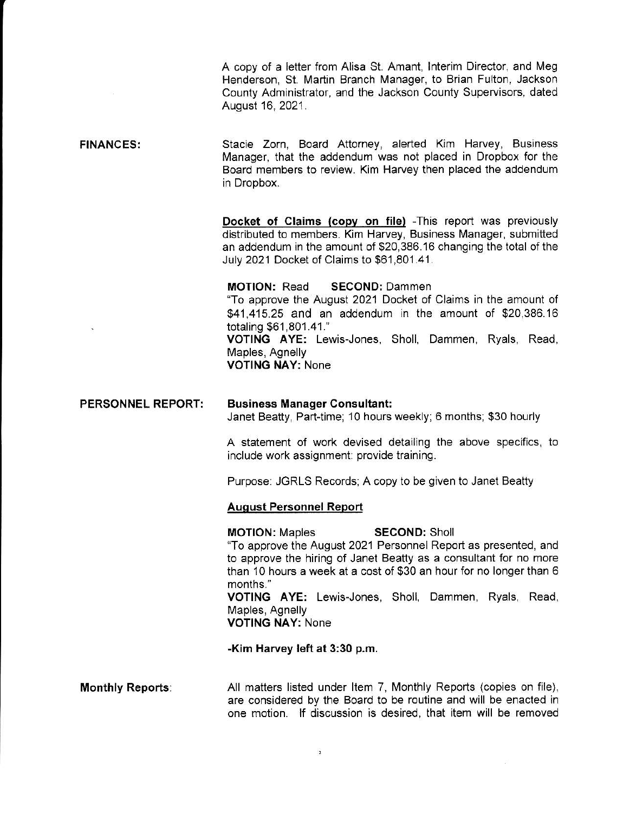A copy of a letter from Alisa St. Amant, Interim Director, and Meg Henderson, St. Martin Branch Manager, to Brian Fulton, Jackson County Administrator, and the Jackson County Supervisors, dated August 16, 2021.

FINANCES; Stacie Zorn, Board Attorney, alerted Kim Harvey, Business Manager, that the addendum was not placed in Dropbox for the Board members to review. Kim Harvey then placed the addendum in Dropbox.

> Docket of Claims (copy on file) -This report was previously distributed to members. Kim Harvey, Business Manager, submitted an addendum in the amount of \$20,386.16 changing the total of the July 2021 Docket of Claims to \$61,801.4'1.

MOTION: Read SECOND: Dammen "To approve the August 2021 Docket of Claims in the amount of \$41,415.25 and an addendum in the amount of \$20,386.16 totaling \$61,801.41." VOTING AYE: Lewis-Jones, Sholl, Dammen, Ryals, Read, Maples, Agnelly VOTING NAY: None

#### PERSONNEL REPORT: **Business Manager Consultant:** Janet Beatty, Part-time; 10 hours weekly; 6 months; \$30 hourly

A statement of work devised detalling the above specifics, to include work assignment: provide training.

Purpose: JGRLS Records; A copy to be given to Janet Beatty

#### **August Personnel Report**

MOTION: Maples SECOND: Sholl 'To appfove the August 2021 Personnel Report as presented, and to approve the hiring of Janet Beatty as a consultant for no more than 10 hours a week at a cost of \$30 an hour for no longer than 6 months."

VOTING AYE: Lewis-Jones, Sholl, Dammen, Ryals, Read, Maples, Agnelly

VOTING NAY: None

-Kim Harvey left at 3:30 p.m.

All matters listed under Item 7, Monthly Reports (copies on file), are considered by the Board to be routine and will be enacted in one motion. lf discussion is desired. that item will be removed Monthly Reports: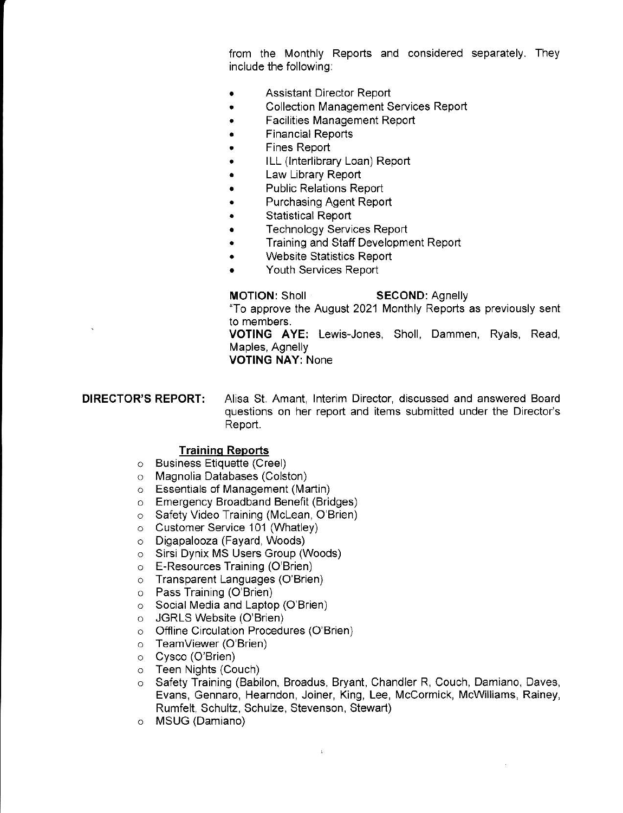from the Monthly Reports and considered separately. They include the following:

- . Assistant Director Report
- Collection Management Services Report
- . Facilities Management Report
- . Financial Reports
- . Fines Report
- . ILL (lnterlibrary Loan) Report
- . Law Library Report
- . Public Relations Report
- . Purchasing Agent Reporl
- . Statistical Report
- . Technology Services Report
- Training and Staff Development Report
- . Website Statistics Report
- . Youth Services Report

## MOTION: Sholl SECOND: Agnelly

"To approve the August 2021 Monthly Reports as previously sent

to members.<br>**VOTING AYE:** Lewis-Jones, Sholl, Dammen, Ryals, Read, Maples, Agnelly

VOTING NAY: None

DIRECTOR'S REPORT: Alisa St. Amant, Interim Director, discussed and answered Board questions on her report and items submitted under the Director's Report.

#### Traininq Reports

- o Business Etiquette (Creel)
- o Magnolia Databases (Colston)
- $\circ$  Essentials of Management (Martin)
- o Emergency Broadband Benefit (Bridges)
- o Safety Video Training (McLean, O'Brien)
- o Customer Service 101 (Whatley)
- o Digapalooza (Fayard, Woods)
- o Sirsi Dynix MS Users Group (Woods)
- o E-Resources Training (O'Brien)
- o Transparent Languages (O'Brien)
- o Pass Training (O'Brien)
- o Social Media and Laptop (O'Brien)
- o JGRLS Website (O'Brien)
- o Offline Circulation Procedures (O'Brien)
- o Teamviewer (O'Brien)
- o Cysco (O'Brien)
- o Teen Nights (Couch)
- o Safety Training (Babilon, Broadus, Bryant, Chandler R, Couch, Damiano, Daves, Evans, Gennaro, Hearndon, Joiner, King, Lee, McCormick, McWilliams, Rainey, Rumfelt, Schultz, Schulze, Stevenson, Stewart)

 $\hat{\mathbf{s}}$ 

o MSUG (Damiano)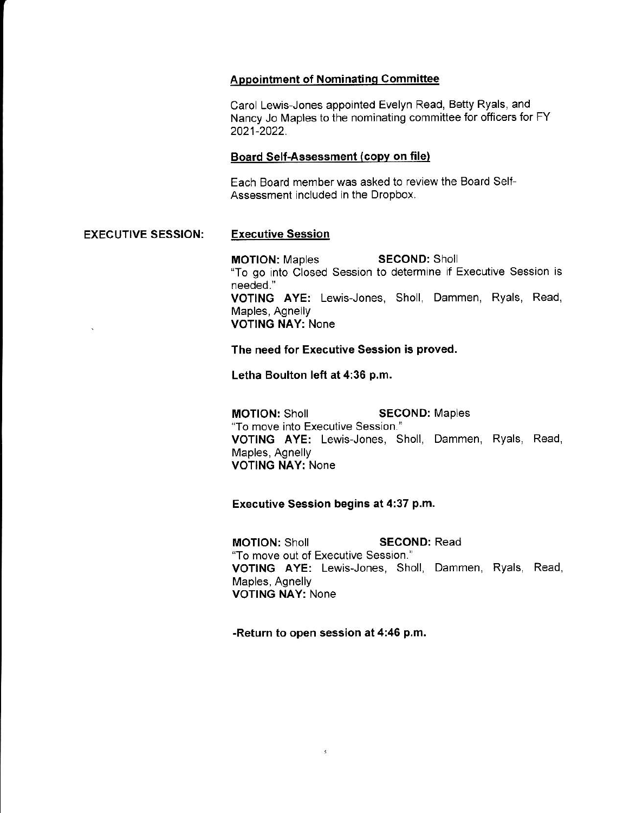## ADDointment of Nominatinq Committee

Carol Lewis-Jones appointed Evelyn Read, Betty Ryals, and Nancy Jo Maples to the nominating committee for officers for FY 2021-2022.

### Board Self-Assessment (copv on file)

Each Board member was asked to review the Board Self-Assessment included in the Dropbox.

## EXECUTIVE SESSION: Executive Session

MOTION: Maples SECOND: Sholl "To go into Closed Session to determine if Executive Session is needed.' VOTING AYE: Lewis-Jones, Sholl, Dammen, Ryals, Read, Maples, Agnelly . VOTING NAY: None

The need for Executive Session is proved.

Letha Boulton left at 4:36 p.m.

**MOTION: Sholl SECOND: Maples** "To move into Executive Session." VOTING AYE: Lewis-Jones, Sholl, Dammen, Ryals, Read, Maples, Agnelly VOTING NAY: None

# Executive Session begins at 4:37 p.m.

**MOTION: Sholl SECOND: Read** "To move out of Executive Session." VOTING AYE: Lewis-Jones, Sholl, Dammen, Ryals, Read, Maples, Agnelly VOTING NAY: None

-Return to open session at 4:46 p.m.